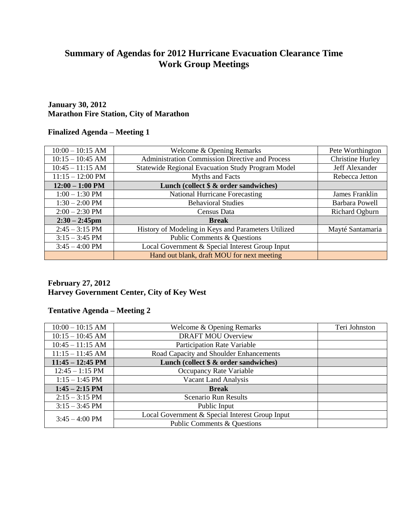# **Summary of Agendas for 2012 Hurricane Evacuation Clearance Time Work Group Meetings**

#### **January 30, 2012 Marathon Fire Station, City of Marathon**

#### **Finalized Agenda – Meeting 1**

| $10:00 - 10:15$ AM         | Welcome & Opening Remarks                                | Pete Worthington        |
|----------------------------|----------------------------------------------------------|-------------------------|
| $10:15 - 10:45$ AM         | <b>Administration Commission Directive and Process</b>   | <b>Christine Hurley</b> |
| $10:45 - 11:15$ AM         | <b>Statewide Regional Evacuation Study Program Model</b> | Jeff Alexander          |
| $11:15 - 12:00 \text{ PM}$ | Myths and Facts                                          | Rebecca Jetton          |
| $12:00 - 1:00$ PM          | Lunch (collect $\$ & order sandwiches)                   |                         |
| $1:00 - 1:30$ PM           | <b>National Hurricane Forecasting</b>                    | James Franklin          |
| $1:30 - 2:00$ PM           | <b>Behavioral Studies</b>                                | <b>Barbara Powell</b>   |
| $2:00 - 2:30$ PM           | Census Data                                              | Richard Ogburn          |
| $2:30 - 2:45$ pm           | <b>Break</b>                                             |                         |
| $2:45 - 3:15$ PM           | History of Modeling in Keys and Parameters Utilized      | Mayté Santamaria        |
| $3:15 - 3:45$ PM           | <b>Public Comments &amp; Questions</b>                   |                         |
| $3:45 - 4:00 \text{ PM}$   | Local Government & Special Interest Group Input          |                         |
|                            | Hand out blank, draft MOU for next meeting               |                         |

### **February 27, 2012 Harvey Government Center, City of Key West**

### **Tentative Agenda – Meeting 2**

| $10:00 - 10:15$ AM         | Welcome & Opening Remarks                       | Teri Johnston |
|----------------------------|-------------------------------------------------|---------------|
| $10:15 - 10:45$ AM         | <b>DRAFT MOU Overview</b>                       |               |
| $10:45 - 11:15$ AM         | Participation Rate Variable                     |               |
| $11:15 - 11:45$ AM         | Road Capacity and Shoulder Enhancements         |               |
| $11:45 - 12:45 \text{ PM}$ | Lunch (collect $\&$ & order sandwiches)         |               |
| $12:45 - 1:15$ PM          | Occupancy Rate Variable                         |               |
| $1:15 - 1:45$ PM           | <b>Vacant Land Analysis</b>                     |               |
| $1:45 - 2:15$ PM           | <b>Break</b>                                    |               |
| $2:15 - 3:15$ PM           | <b>Scenario Run Results</b>                     |               |
| $3:15 - 3:45$ PM           | Public Input                                    |               |
| $3:45 - 4:00 \text{ PM}$   | Local Government & Special Interest Group Input |               |
|                            | Public Comments & Questions                     |               |